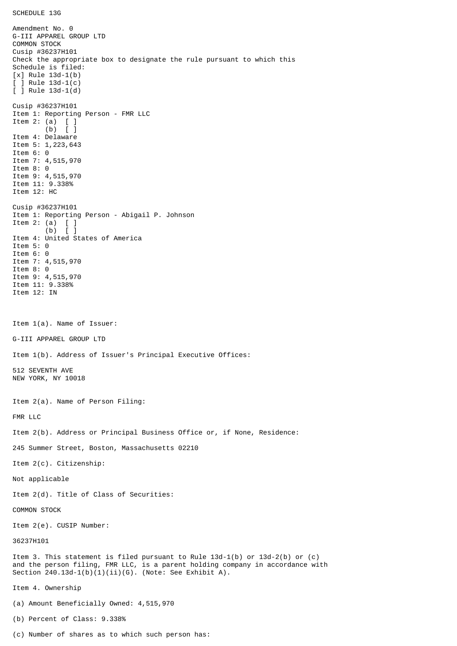SCHEDULE 13G

Amendment No. 0 G-III APPAREL GROUP LTD COMMON STOCK Cusip #36237H101 Check the appropriate box to designate the rule pursuant to which this Schedule is filed: [x] Rule 13d-1(b) [ ] Rule 13d-1(c) [ ] Rule 13d-1(d) Cusip #36237H101 Item 1: Reporting Person - FMR LLC Item 2: (a) [ ] (b) [ ] Item 4: Delaware Item 5: 1,223,643 Item 6: 0 Item 7: 4,515,970 Item 8: 0 Item 9: 4,515,970 Item 11: 9.338% Item 12: HC Cusip #36237H101 Item 1: Reporting Person - Abigail P. Johnson Item 2: (a)  $[$  ]<br>(b)  $[$  ]  $(b)$ Item 4: United States of America Item 5: 0 Item 6: 0 Item 7: 4,515,970 Item 8: 0 Item 9: 4,515,970 Item 11: 9.338% Item 12: IN Item 1(a). Name of Issuer: G-III APPAREL GROUP LTD Item 1(b). Address of Issuer's Principal Executive Offices: 512 SEVENTH AVE NEW YORK, NY 10018 Item 2(a). Name of Person Filing: FMR LLC Item 2(b). Address or Principal Business Office or, if None, Residence: 245 Summer Street, Boston, Massachusetts 02210 Item 2(c). Citizenship: Not applicable Item 2(d). Title of Class of Securities: COMMON STOCK Item 2(e). CUSIP Number: 36237H101 Item 3. This statement is filed pursuant to Rule 13d-1(b) or 13d-2(b) or (c) and the person filing, FMR LLC, is a parent holding company in accordance with Section  $240.13d-1(b)(1)(ii)(G)$ . (Note: See Exhibit A). Item 4. Ownership (a) Amount Beneficially Owned: 4,515,970 (b) Percent of Class: 9.338%

(c) Number of shares as to which such person has: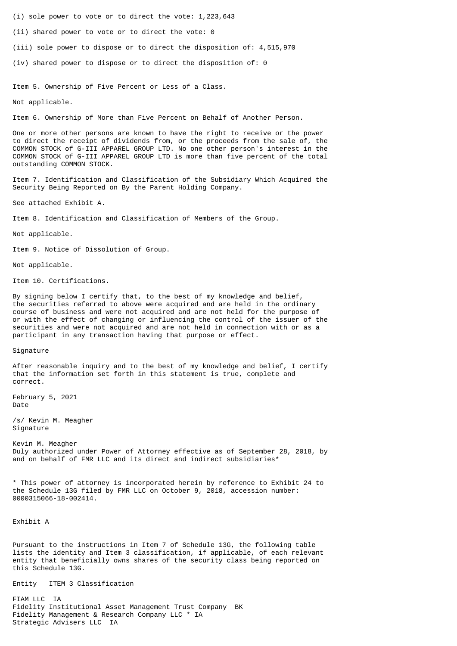(i) sole power to vote or to direct the vote: 1,223,643

(ii) shared power to vote or to direct the vote: 0

(iii) sole power to dispose or to direct the disposition of: 4,515,970

(iv) shared power to dispose or to direct the disposition of: 0

Item 5. Ownership of Five Percent or Less of a Class.

Not applicable.

Item 6. Ownership of More than Five Percent on Behalf of Another Person.

One or more other persons are known to have the right to receive or the power to direct the receipt of dividends from, or the proceeds from the sale of, the COMMON STOCK of G-III APPAREL GROUP LTD. No one other person's interest in the COMMON STOCK of G-III APPAREL GROUP LTD is more than five percent of the total outstanding COMMON STOCK.

Item 7. Identification and Classification of the Subsidiary Which Acquired the Security Being Reported on By the Parent Holding Company.

See attached Exhibit A.

Item 8. Identification and Classification of Members of the Group.

Not applicable.

Item 9. Notice of Dissolution of Group.

Not applicable.

Item 10. Certifications.

By signing below I certify that, to the best of my knowledge and belief, the securities referred to above were acquired and are held in the ordinary course of business and were not acquired and are not held for the purpose of or with the effect of changing or influencing the control of the issuer of the securities and were not acquired and are not held in connection with or as a participant in any transaction having that purpose or effect.

Signature

After reasonable inquiry and to the best of my knowledge and belief, I certify that the information set forth in this statement is true, complete and correct.

February 5, 2021 Date

/s/ Kevin M. Meagher Signature

Kevin M. Meagher Duly authorized under Power of Attorney effective as of September 28, 2018, by and on behalf of FMR LLC and its direct and indirect subsidiaries\*

\* This power of attorney is incorporated herein by reference to Exhibit 24 to the Schedule 13G filed by FMR LLC on October 9, 2018, accession number: 0000315066-18-002414.

Exhibit A

Pursuant to the instructions in Item 7 of Schedule 13G, the following table lists the identity and Item 3 classification, if applicable, of each relevant entity that beneficially owns shares of the security class being reported on this Schedule 13G.

Entity ITEM 3 Classification

FIAM LLC IA Fidelity Institutional Asset Management Trust Company BK Fidelity Management & Research Company LLC \* IA Strategic Advisers LLC IA